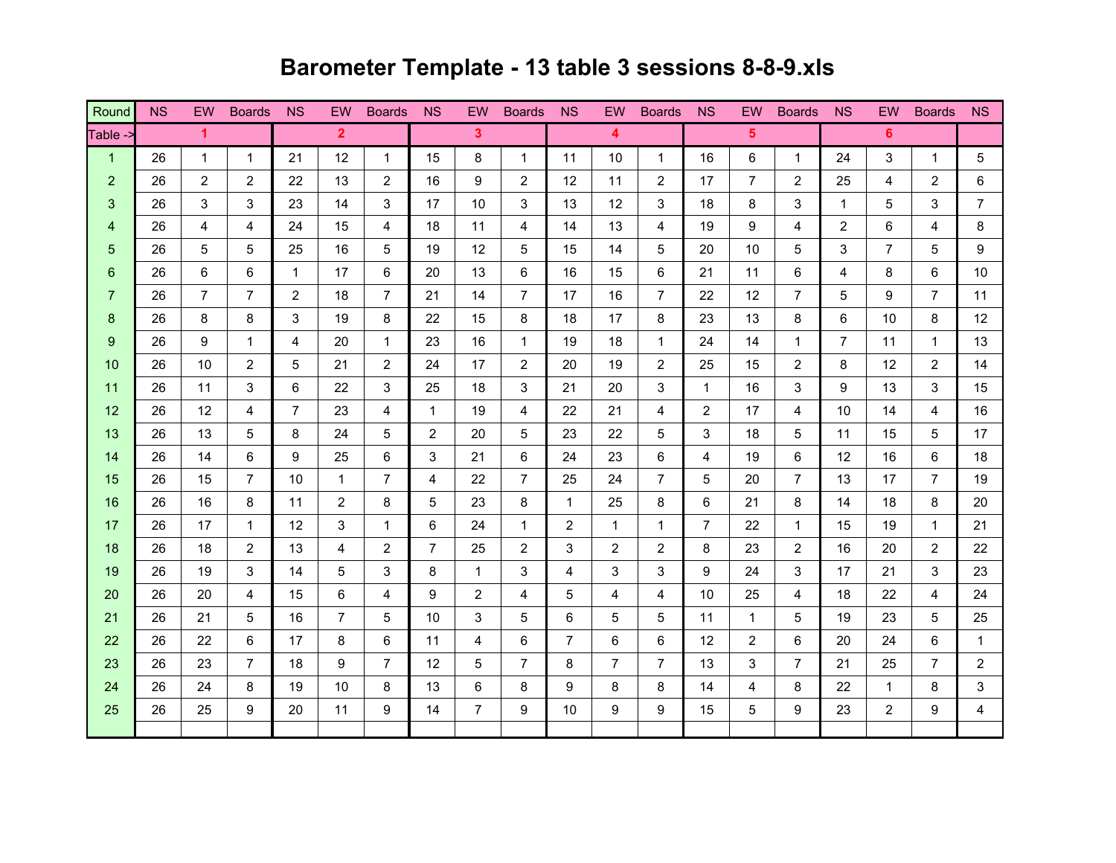## Round NS EW Boards NS EW Boards NS EW Boards NS EW Boards NS EW Boards NS EW Boards NS Table 1 26 1 1 21 12 1 15 8 1 11 10 1 16 6 1 24 3 1 5 $5\phantom{.0}$ 2 26 2 26 2 27 23 24 26 27 28 29 20 20 20 20 21 22 22 23 24 25 26 27 27 27 27 28 29 20 20 20 20 20 20 20 20 20 3 26 3 3 3 23 3 4 5 23 4 5 24 5 25 26 27 28 4 5 27 3 4 5 4 5 4 5 5 6 7 5 6 7 6 7 6 7 7 8 5 6 7 6 7 7 8 7 7 8 7 4 26 4 4 24 24 15 4 26 11 4 2 4 2 5 4 2 6 4 2 6 4 2 6 4 5 26 5 5 25 16 5 19 12 5 15 14 5 20 10 5 3 7 5 96 26 6 6 6 7 7 8 7 20 7 3 6 7 3 6 7 3 6 7 3 4 5  $\,$ 7 26 7 7 2 18 7 21 14 7 17 16 7 22 12 7 5 9 7 118 | 26 | 8 | 8 | 3 | 19 | 8 | 22 | 15 | 8 | 18 | 17 | 8 | 23 | 13 | 8 | 6 | 10 | 8 | 12 9 26 9 1 4 20 1 23 16 1 19 18 1 24 14 1 7 11 1 1310 26 10 2 5 21 2 24 17 2 20 19 2 25 15 2 8 12 2 14<mark>11 |</mark> 26 | 11 | 3 | 6 | 22 | 3 | 25 | 18 | 3 | 21 | 20 | 3 | 1 | 16 | 3 | 9 | 13 | 3 | 15 12 **1** 26 1 21 4 **1** 7 23 4 **1** 1 1 9 4 **1** 22 21 4 **1** 2 1 17 4 **1** 10 14 4 16 <mark>13 |</mark> 26 | 13 | 5 | 8 | 24 | 5 | 2 | 20 | 5 | 23 | 22 | 5 | 3 | 18 | 5 | 11 | 15 | 5 | 17 <mark>14 |</mark> 26 | 14 | 6 | 9 | 25 | 6 | 3 | 21 | 6 | 24 | 23 | 6 | 4 | 19 | 6 | 12 | 16 | 6 | 18 15 26 15 7 20 10 1 2 2 3 24 25 24 26 27 20 27 20 27 28 20 16 **1** 26 16 | 8 **1** 11 | 2 | 8 **|** 5 | 23 | 8 **|** 1 | 25 | 8 **|** 6 | 21 | 8 **|** 14 | 18 | 8 **|** 20 17 26 17 1 1 12 3 1 1 6 24 1 1 2 1 1 1 7 22 1 1 1 15 1 19 1 1 21 18 26 18 2 13 2 13 4 2 2 2 2 2 2 3 2 3 2 3 2 3 2 3 2 3 2 1<mark>9 |</mark> 26 | 19 | 3 | 14 | 5 | 3 | 8 | 1 | 3 | 4 | 3 | 3 | 9 | 24 | 3 | 17 | 21 | 3 | 23 20 26 20 4 15 6 4 9 2 4 5 4 4 10 25 4 18 22 4 2421 26 21 5 6 7 5 6 7 6 7 6 7  $\,$  5 6 6 5 5 6 7  $\,$  5 6  $\,$  5  $\,$  6  $\,$  5  $\,$  5  $\,$  5  $\,$  5  $\,$  11  $\,$  1  $\,$  5  $\,$  19  $\,$  23  $\,$  5  $\,$  25 22 22 26 22 6 17 8 6 11 4 6 7 6 6 12 2 6 20 24 6 1 23 23 26 23 7 26 23 2 24 26 24 8 19 10 8 13 6 8 1 9 8 8 14 4 8 22 1 8 13 **12345 6**

25 26 26 25 9 20 11 9 14 7 9 10 9 9 9 15 5 9 23 2 9 1

 $\overline{4}$ 

## **Barometer Template - 13 table 3 sessions 8-8-9.xls**